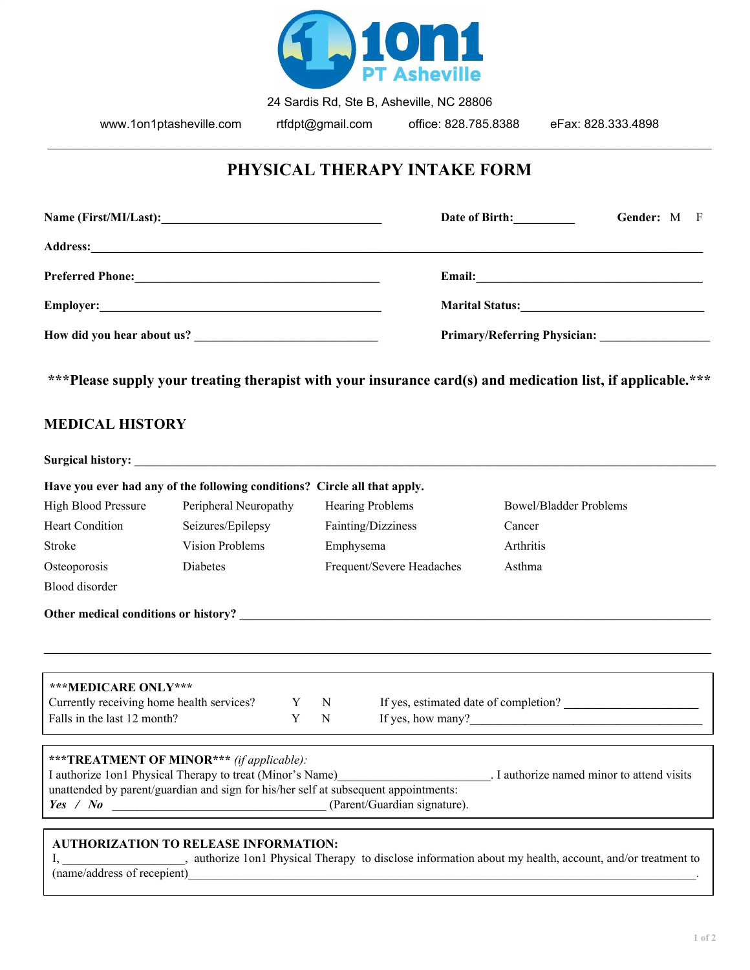

24 Sardis Rd, Ste B, Asheville, NC 28806

www.1on1ptasheville.com rtfdpt@gmail.com office: 828.785.8388 eFax: 828.333.4898

### **PHYSICAL THERAPY INTAKE FORM**

\_\_\_\_\_\_\_\_\_\_\_\_\_\_\_\_\_\_\_\_\_\_\_\_\_\_\_\_\_\_\_\_\_\_\_\_\_\_\_\_\_\_\_\_\_\_\_\_\_\_\_\_\_\_\_\_\_\_\_\_\_\_\_\_\_\_\_\_\_\_\_\_\_\_\_\_\_\_\_\_\_\_\_\_\_\_\_\_\_\_\_\_\_\_\_\_\_\_\_\_\_\_\_\_\_\_\_\_\_\_\_\_\_\_\_\_\_\_\_\_\_\_

|                                                                                                             | Date of Birth: | <b>Gender:</b> M F |  |  |  |
|-------------------------------------------------------------------------------------------------------------|----------------|--------------------|--|--|--|
|                                                                                                             |                |                    |  |  |  |
|                                                                                                             |                |                    |  |  |  |
|                                                                                                             |                | Marital Status:    |  |  |  |
|                                                                                                             |                |                    |  |  |  |
| ***Please supply your treating therapist with your insurance card(s) and medication list, if applicable.*** |                |                    |  |  |  |
| MEDICAL HIGTODY                                                                                             |                |                    |  |  |  |

#### **MEDICAL HISTORY**

| <b>Surgical history:</b>                  |                                                                           |   |                           |                                       |
|-------------------------------------------|---------------------------------------------------------------------------|---|---------------------------|---------------------------------------|
|                                           | Have you ever had any of the following conditions? Circle all that apply. |   |                           |                                       |
| <b>High Blood Pressure</b>                | Peripheral Neuropathy                                                     |   | <b>Hearing Problems</b>   | Bowel/Bladder Problems                |
| <b>Heart Condition</b>                    | Seizures/Epilepsy                                                         |   | Fainting/Dizziness        | Cancer                                |
| Stroke                                    | <b>Vision Problems</b>                                                    |   | Emphysema                 | <b>Arthritis</b>                      |
| Osteoporosis                              | <b>Diabetes</b>                                                           |   | Frequent/Severe Headaches | Asthma                                |
| Blood disorder                            |                                                                           |   |                           |                                       |
|                                           | Other medical conditions or history?                                      |   |                           |                                       |
|                                           |                                                                           |   |                           |                                       |
| ***MEDICARE ONLY***                       |                                                                           |   |                           |                                       |
| Currently receiving home health services? | Y                                                                         | N |                           | If yes, estimated date of completion? |
| Falls in the last 12 month?               | Y                                                                         | N |                           | If yes, how many? $\qquad \qquad$     |
|                                           |                                                                           |   |                           |                                       |

| ***TREATMENT OF MINOR*** (if applicable):                                           |                                            |
|-------------------------------------------------------------------------------------|--------------------------------------------|
| I authorize 1 on 1 Physical Therapy to treat (Minor's Name)                         | . I authorize named minor to attend visits |
| unattended by parent/guardian and sign for his/her self at subsequent appointments: |                                            |
| (Parent/Guardian signature).<br>$Yes$ /<br>$N_{\boldsymbol{0}}$                     |                                            |
|                                                                                     |                                            |

#### **AUTHORIZATION TO RELEASE INFORMATION:**

I, \_\_\_\_\_\_\_\_\_\_\_\_\_\_\_\_\_\_\_\_, authorize 1on1 Physical Therapy to disclose information about my health, account, and/or treatment to (name/address of recepient)\_\_\_\_\_\_\_\_\_\_\_\_\_\_\_\_\_\_\_\_\_\_\_\_\_\_\_\_\_\_\_\_\_\_\_\_\_\_\_\_\_\_\_\_\_\_\_\_\_\_\_\_\_\_\_\_\_\_\_\_\_\_\_\_\_\_\_\_\_\_\_\_\_\_\_\_\_\_\_\_\_\_\_.